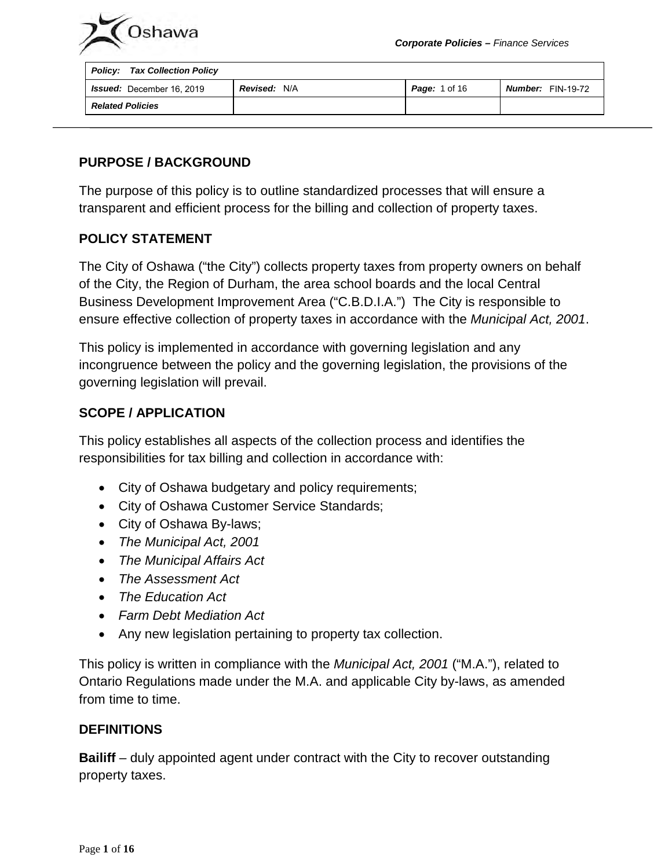



| <b>Policy: Tax Collection Policy</b> |                     |                      |                          |
|--------------------------------------|---------------------|----------------------|--------------------------|
| <b>Issued:</b> December 16, 2019     | <b>Revised: N/A</b> | <b>Page:</b> 1 of 16 | <b>Number:</b> FIN-19-72 |
| <b>Related Policies</b>              |                     |                      |                          |

### **PURPOSE / BACKGROUND**

The purpose of this policy is to outline standardized processes that will ensure a transparent and efficient process for the billing and collection of property taxes.

#### **POLICY STATEMENT**

The City of Oshawa ("the City") collects property taxes from property owners on behalf of the City, the Region of Durham, the area school boards and the local Central Business Development Improvement Area ("C.B.D.I.A.") The City is responsible to ensure effective collection of property taxes in accordance with the *Municipal Act, 2001*.

This policy is implemented in accordance with governing legislation and any incongruence between the policy and the governing legislation, the provisions of the governing legislation will prevail.

### **SCOPE / APPLICATION**

This policy establishes all aspects of the collection process and identifies the responsibilities for tax billing and collection in accordance with:

- City of Oshawa budgetary and policy requirements;
- City of Oshawa Customer Service Standards;
- City of Oshawa By-laws;
- *The Municipal Act, 2001*
- *The Municipal Affairs Act*
- *The Assessment Act*
- *The Education Act*
- *Farm Debt Mediation Act*
- Any new legislation pertaining to property tax collection.

This policy is written in compliance with the *Municipal Act, 2001* ("M.A."), related to Ontario Regulations made under the M.A. and applicable City by-laws, as amended from time to time.

#### **DEFINITIONS**

**Bailiff** – duly appointed agent under contract with the City to recover outstanding property taxes.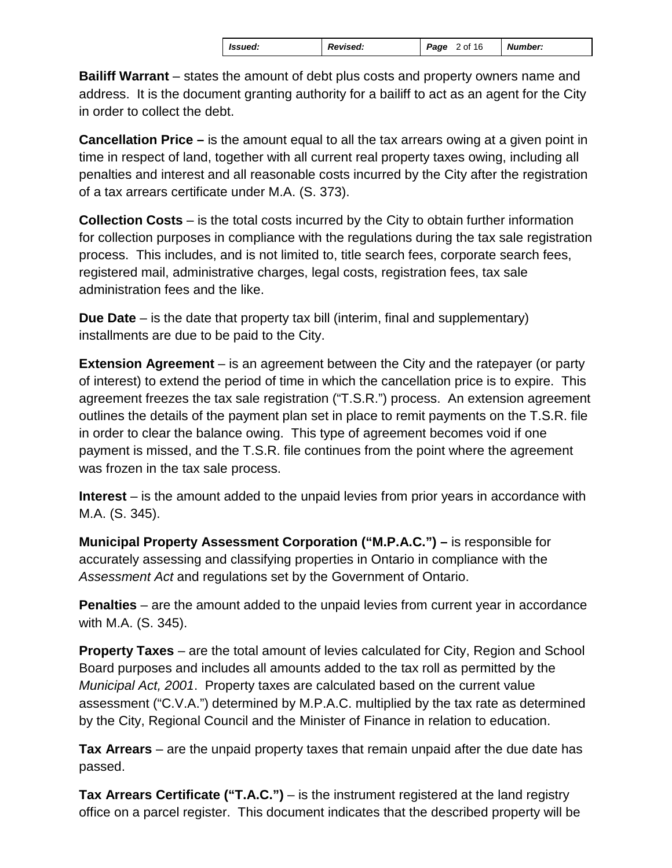| <b>Issued:</b> | <b>Revised:</b> | Page<br>2 of 16 | <b>Number:</b> |
|----------------|-----------------|-----------------|----------------|
|----------------|-----------------|-----------------|----------------|

**Bailiff Warrant** – states the amount of debt plus costs and property owners name and address. It is the document granting authority for a bailiff to act as an agent for the City in order to collect the debt.

**Cancellation Price –** is the amount equal to all the tax arrears owing at a given point in time in respect of land, together with all current real property taxes owing, including all penalties and interest and all reasonable costs incurred by the City after the registration of a tax arrears certificate under M.A. (S. 373).

**Collection Costs** – is the total costs incurred by the City to obtain further information for collection purposes in compliance with the regulations during the tax sale registration process. This includes, and is not limited to, title search fees, corporate search fees, registered mail, administrative charges, legal costs, registration fees, tax sale administration fees and the like.

**Due Date** – is the date that property tax bill (interim, final and supplementary) installments are due to be paid to the City.

**Extension Agreement** – is an agreement between the City and the ratepayer (or party of interest) to extend the period of time in which the cancellation price is to expire. This agreement freezes the tax sale registration ("T.S.R.") process. An extension agreement outlines the details of the payment plan set in place to remit payments on the T.S.R. file in order to clear the balance owing. This type of agreement becomes void if one payment is missed, and the T.S.R. file continues from the point where the agreement was frozen in the tax sale process.

**Interest** – is the amount added to the unpaid levies from prior years in accordance with M.A. (S. 345).

**Municipal Property Assessment Corporation ("M.P.A.C.") –** is responsible for accurately assessing and classifying properties in Ontario in compliance with the *Assessment Act* and regulations set by the Government of Ontario.

**Penalties** – are the amount added to the unpaid levies from current year in accordance with M.A. (S. 345).

**Property Taxes** – are the total amount of levies calculated for City, Region and School Board purposes and includes all amounts added to the tax roll as permitted by the *Municipal Act, 2001*. Property taxes are calculated based on the current value assessment ("C.V.A.") determined by M.P.A.C. multiplied by the tax rate as determined by the City, Regional Council and the Minister of Finance in relation to education.

**Tax Arrears** – are the unpaid property taxes that remain unpaid after the due date has passed.

**Tax Arrears Certificate ("T.A.C.")** – is the instrument registered at the land registry office on a parcel register. This document indicates that the described property will be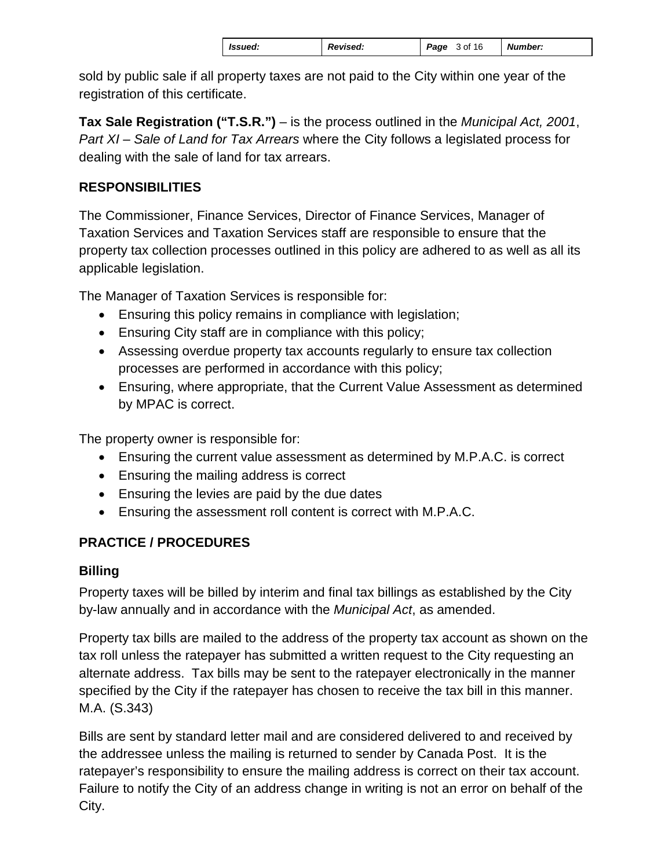| Issued: |  | <b>Revised:</b> | Page | 3 of 16 | <b>Number:</b> |
|---------|--|-----------------|------|---------|----------------|
|---------|--|-----------------|------|---------|----------------|

sold by public sale if all property taxes are not paid to the City within one year of the registration of this certificate.

**Tax Sale Registration ("T.S.R.")** – is the process outlined in the *Municipal Act, 2001*, *Part XI – Sale of Land for Tax Arrears* where the City follows a legislated process for dealing with the sale of land for tax arrears.

# **RESPONSIBILITIES**

The Commissioner, Finance Services, Director of Finance Services, Manager of Taxation Services and Taxation Services staff are responsible to ensure that the property tax collection processes outlined in this policy are adhered to as well as all its applicable legislation.

The Manager of Taxation Services is responsible for:

- Ensuring this policy remains in compliance with legislation;
- Ensuring City staff are in compliance with this policy;
- Assessing overdue property tax accounts regularly to ensure tax collection processes are performed in accordance with this policy;
- Ensuring, where appropriate, that the Current Value Assessment as determined by MPAC is correct.

The property owner is responsible for:

- Ensuring the current value assessment as determined by M.P.A.C. is correct
- Ensuring the mailing address is correct
- Ensuring the levies are paid by the due dates
- Ensuring the assessment roll content is correct with M.P.A.C.

# **PRACTICE / PROCEDURES**

# **Billing**

Property taxes will be billed by interim and final tax billings as established by the City by-law annually and in accordance with the *Municipal Act*, as amended.

Property tax bills are mailed to the address of the property tax account as shown on the tax roll unless the ratepayer has submitted a written request to the City requesting an alternate address. Tax bills may be sent to the ratepayer electronically in the manner specified by the City if the ratepayer has chosen to receive the tax bill in this manner. M.A. (S.343)

Bills are sent by standard letter mail and are considered delivered to and received by the addressee unless the mailing is returned to sender by Canada Post. It is the ratepayer's responsibility to ensure the mailing address is correct on their tax account. Failure to notify the City of an address change in writing is not an error on behalf of the City.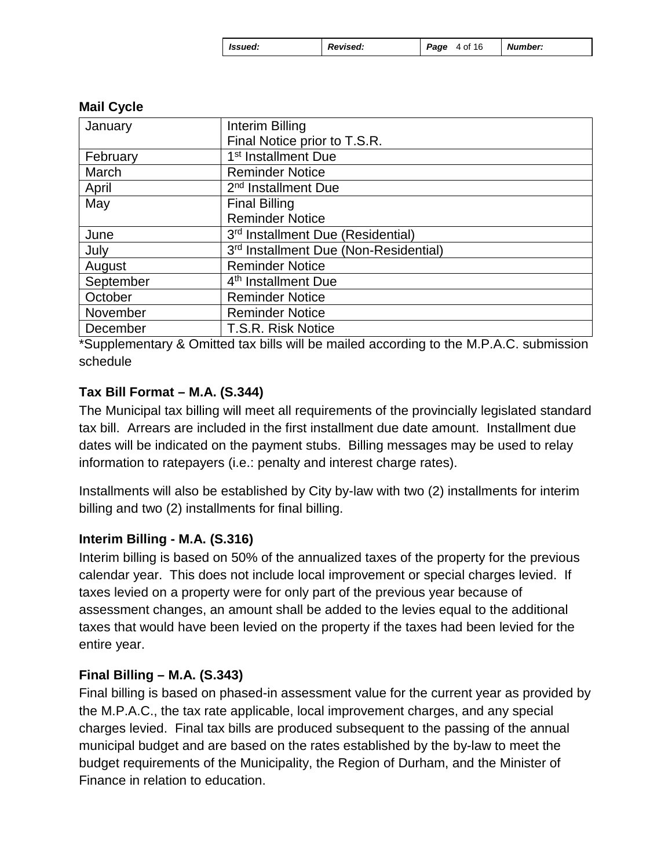| Ssued: | Revised: | <b>Page</b> 4 of 16 |  | Number: |
|--------|----------|---------------------|--|---------|
|--------|----------|---------------------|--|---------|

| January   | Interim Billing                       |
|-----------|---------------------------------------|
|           | Final Notice prior to T.S.R.          |
| February  | 1 <sup>st</sup> Installment Due       |
| March     | <b>Reminder Notice</b>                |
| April     | 2 <sup>nd</sup> Installment Due       |
| May       | <b>Final Billing</b>                  |
|           | <b>Reminder Notice</b>                |
| June      | 3rd Installment Due (Residential)     |
| July      | 3rd Installment Due (Non-Residential) |
| August    | <b>Reminder Notice</b>                |
| September | 4 <sup>th</sup> Installment Due       |
| October   | <b>Reminder Notice</b>                |
| November  | <b>Reminder Notice</b>                |
| December  | T.S.R. Risk Notice                    |

### **Mail Cycle**

\*Supplementary & Omitted tax bills will be mailed according to the M.P.A.C. submission schedule

### **Tax Bill Format – M.A. (S.344)**

The Municipal tax billing will meet all requirements of the provincially legislated standard tax bill. Arrears are included in the first installment due date amount. Installment due dates will be indicated on the payment stubs. Billing messages may be used to relay information to ratepayers (i.e.: penalty and interest charge rates).

Installments will also be established by City by-law with two (2) installments for interim billing and two (2) installments for final billing.

#### **Interim Billing - M.A. (S.316)**

Interim billing is based on 50% of the annualized taxes of the property for the previous calendar year. This does not include local improvement or special charges levied. If taxes levied on a property were for only part of the previous year because of assessment changes, an amount shall be added to the levies equal to the additional taxes that would have been levied on the property if the taxes had been levied for the entire year.

#### **Final Billing – M.A. (S.343)**

Final billing is based on phased-in assessment value for the current year as provided by the M.P.A.C., the tax rate applicable, local improvement charges, and any special charges levied. Final tax bills are produced subsequent to the passing of the annual municipal budget and are based on the rates established by the by-law to meet the budget requirements of the Municipality, the Region of Durham, and the Minister of Finance in relation to education.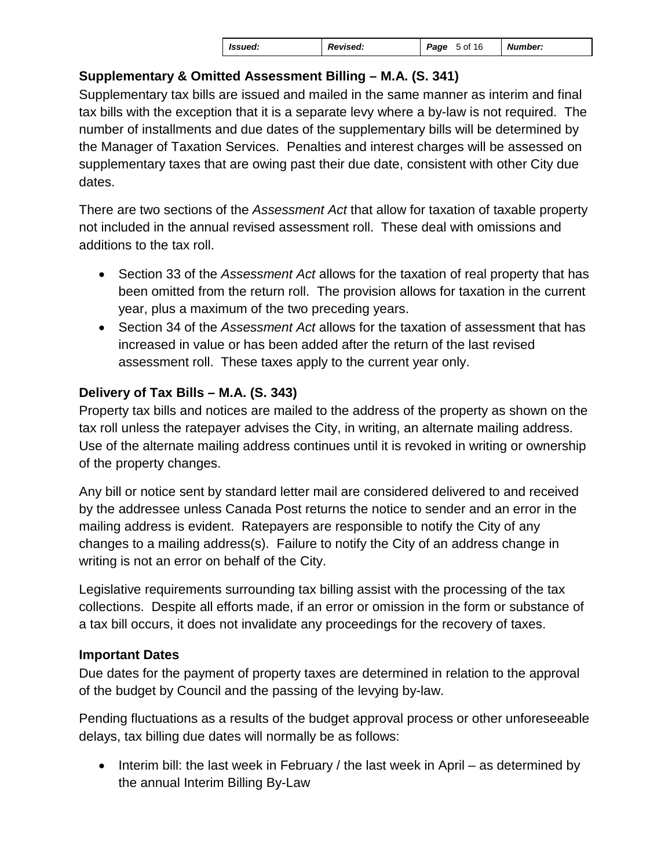# **Supplementary & Omitted Assessment Billing – M.A. (S. 341)**

Supplementary tax bills are issued and mailed in the same manner as interim and final tax bills with the exception that it is a separate levy where a by-law is not required. The number of installments and due dates of the supplementary bills will be determined by the Manager of Taxation Services. Penalties and interest charges will be assessed on supplementary taxes that are owing past their due date, consistent with other City due dates.

There are two sections of the *Assessment Act* that allow for taxation of taxable property not included in the annual revised assessment roll. These deal with omissions and additions to the tax roll.

- Section 33 of the *Assessment Act* allows for the taxation of real property that has been omitted from the return roll. The provision allows for taxation in the current year, plus a maximum of the two preceding years.
- Section 34 of the *Assessment Act* allows for the taxation of assessment that has increased in value or has been added after the return of the last revised assessment roll. These taxes apply to the current year only.

# **Delivery of Tax Bills – M.A. (S. 343)**

Property tax bills and notices are mailed to the address of the property as shown on the tax roll unless the ratepayer advises the City, in writing, an alternate mailing address. Use of the alternate mailing address continues until it is revoked in writing or ownership of the property changes.

Any bill or notice sent by standard letter mail are considered delivered to and received by the addressee unless Canada Post returns the notice to sender and an error in the mailing address is evident. Ratepayers are responsible to notify the City of any changes to a mailing address(s). Failure to notify the City of an address change in writing is not an error on behalf of the City.

Legislative requirements surrounding tax billing assist with the processing of the tax collections. Despite all efforts made, if an error or omission in the form or substance of a tax bill occurs, it does not invalidate any proceedings for the recovery of taxes.

# **Important Dates**

Due dates for the payment of property taxes are determined in relation to the approval of the budget by Council and the passing of the levying by-law.

Pending fluctuations as a results of the budget approval process or other unforeseeable delays, tax billing due dates will normally be as follows:

• Interim bill: the last week in February / the last week in April – as determined by the annual Interim Billing By-Law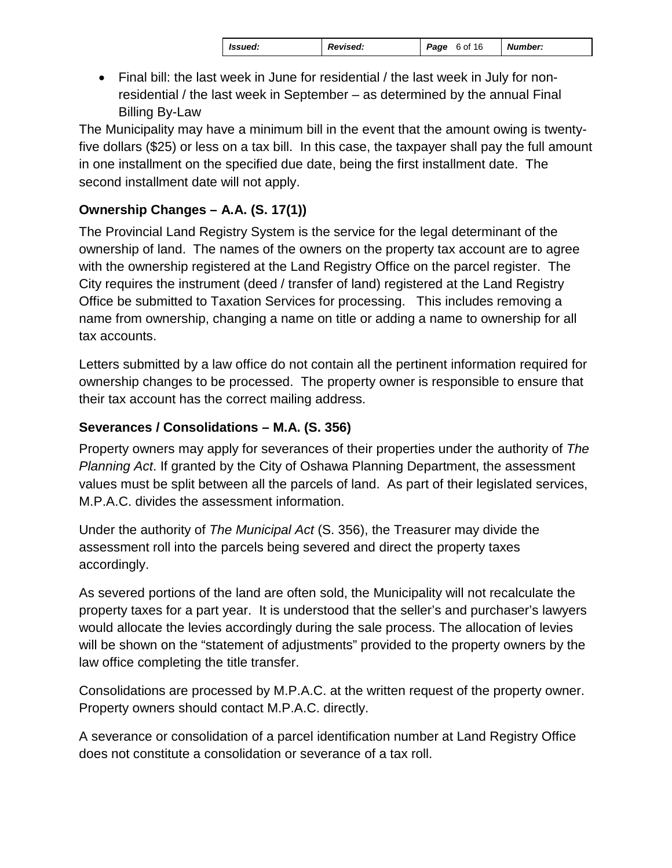| l Issued: | <b>Revised:</b> | Page 6 of 16 | <b>Number:</b> |
|-----------|-----------------|--------------|----------------|
|-----------|-----------------|--------------|----------------|

• Final bill: the last week in June for residential / the last week in July for nonresidential / the last week in September – as determined by the annual Final Billing By-Law

The Municipality may have a minimum bill in the event that the amount owing is twentyfive dollars (\$25) or less on a tax bill. In this case, the taxpayer shall pay the full amount in one installment on the specified due date, being the first installment date. The second installment date will not apply.

# **Ownership Changes – A.A. (S. 17(1))**

The Provincial Land Registry System is the service for the legal determinant of the ownership of land. The names of the owners on the property tax account are to agree with the ownership registered at the Land Registry Office on the parcel register. The City requires the instrument (deed / transfer of land) registered at the Land Registry Office be submitted to Taxation Services for processing. This includes removing a name from ownership, changing a name on title or adding a name to ownership for all tax accounts.

Letters submitted by a law office do not contain all the pertinent information required for ownership changes to be processed. The property owner is responsible to ensure that their tax account has the correct mailing address.

# **Severances / Consolidations – M.A. (S. 356)**

Property owners may apply for severances of their properties under the authority of *The Planning Act*. If granted by the City of Oshawa Planning Department, the assessment values must be split between all the parcels of land. As part of their legislated services, M.P.A.C. divides the assessment information.

Under the authority of *The Municipal Act* (S. 356), the Treasurer may divide the assessment roll into the parcels being severed and direct the property taxes accordingly.

As severed portions of the land are often sold, the Municipality will not recalculate the property taxes for a part year. It is understood that the seller's and purchaser's lawyers would allocate the levies accordingly during the sale process. The allocation of levies will be shown on the "statement of adjustments" provided to the property owners by the law office completing the title transfer.

Consolidations are processed by M.P.A.C. at the written request of the property owner. Property owners should contact M.P.A.C. directly.

A severance or consolidation of a parcel identification number at Land Registry Office does not constitute a consolidation or severance of a tax roll.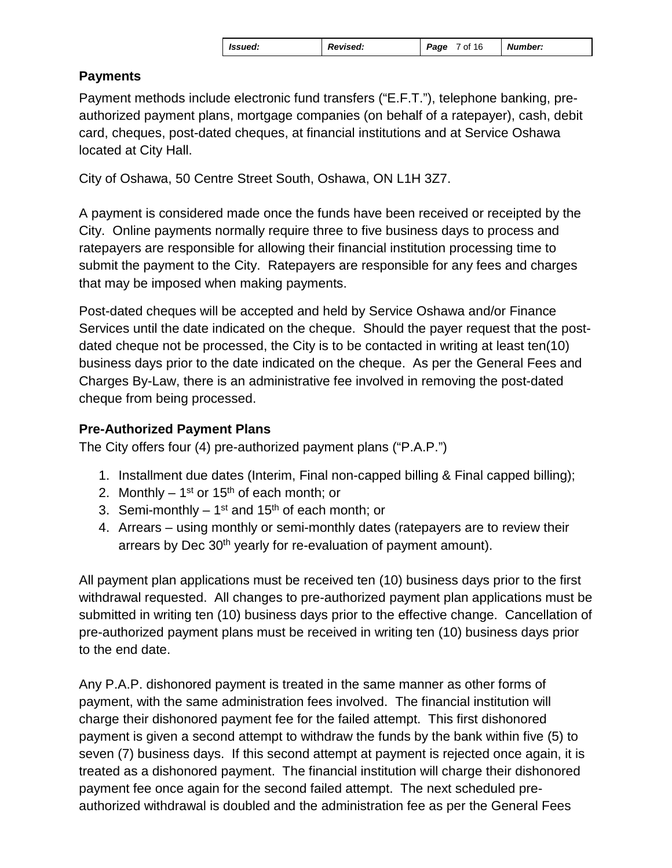| <b>Issued:</b> | Revised: | Page<br>7 of 16 | <b>Number:</b> |
|----------------|----------|-----------------|----------------|
|                |          |                 |                |

# **Payments**

Payment methods include electronic fund transfers ("E.F.T."), telephone banking, preauthorized payment plans, mortgage companies (on behalf of a ratepayer), cash, debit card, cheques, post-dated cheques, at financial institutions and at Service Oshawa located at City Hall.

City of Oshawa, 50 Centre Street South, Oshawa, ON L1H 3Z7.

A payment is considered made once the funds have been received or receipted by the City. Online payments normally require three to five business days to process and ratepayers are responsible for allowing their financial institution processing time to submit the payment to the City. Ratepayers are responsible for any fees and charges that may be imposed when making payments.

Post-dated cheques will be accepted and held by Service Oshawa and/or Finance Services until the date indicated on the cheque. Should the payer request that the postdated cheque not be processed, the City is to be contacted in writing at least ten(10) business days prior to the date indicated on the cheque. As per the General Fees and Charges By-Law, there is an administrative fee involved in removing the post-dated cheque from being processed.

# **Pre-Authorized Payment Plans**

The City offers four (4) pre-authorized payment plans ("P.A.P.")

- 1. Installment due dates (Interim, Final non-capped billing & Final capped billing);
- 2. Monthly  $1^{st}$  or  $15^{th}$  of each month; or
- 3. Semi-monthly  $-1^{st}$  and 15<sup>th</sup> of each month; or
- 4. Arrears using monthly or semi-monthly dates (ratepayers are to review their arrears by Dec 30<sup>th</sup> yearly for re-evaluation of payment amount).

All payment plan applications must be received ten (10) business days prior to the first withdrawal requested. All changes to pre-authorized payment plan applications must be submitted in writing ten (10) business days prior to the effective change. Cancellation of pre-authorized payment plans must be received in writing ten (10) business days prior to the end date.

Any P.A.P. dishonored payment is treated in the same manner as other forms of payment, with the same administration fees involved. The financial institution will charge their dishonored payment fee for the failed attempt. This first dishonored payment is given a second attempt to withdraw the funds by the bank within five (5) to seven (7) business days. If this second attempt at payment is rejected once again, it is treated as a dishonored payment. The financial institution will charge their dishonored payment fee once again for the second failed attempt. The next scheduled preauthorized withdrawal is doubled and the administration fee as per the General Fees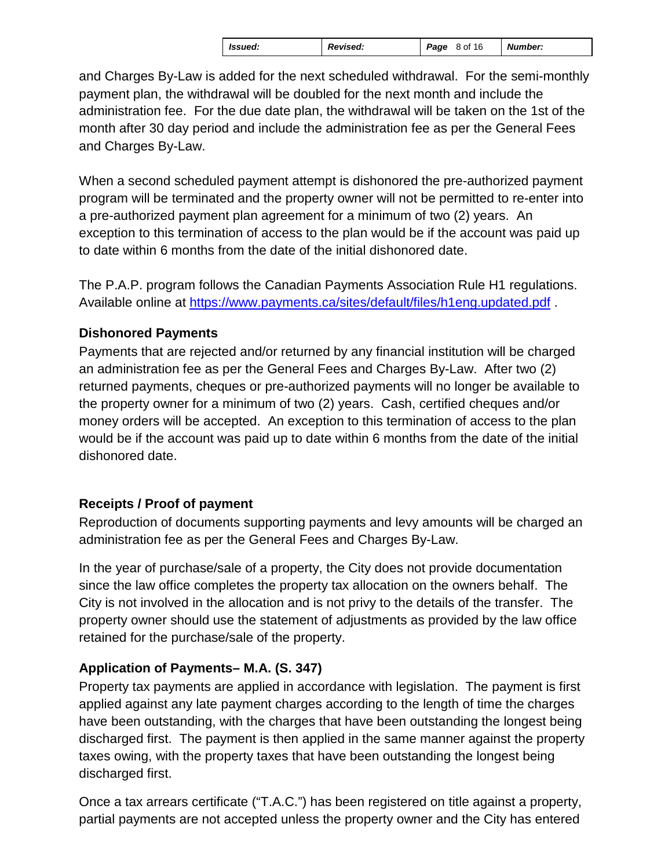| Issued: | <b>Revised:</b> | 8 of 16<br>Page | <b>Number:</b> |
|---------|-----------------|-----------------|----------------|
|---------|-----------------|-----------------|----------------|

and Charges By-Law is added for the next scheduled withdrawal. For the semi-monthly payment plan, the withdrawal will be doubled for the next month and include the administration fee. For the due date plan, the withdrawal will be taken on the 1st of the month after 30 day period and include the administration fee as per the General Fees and Charges By-Law.

When a second scheduled payment attempt is dishonored the pre-authorized payment program will be terminated and the property owner will not be permitted to re-enter into a pre-authorized payment plan agreement for a minimum of two (2) years. An exception to this termination of access to the plan would be if the account was paid up to date within 6 months from the date of the initial dishonored date.

The P.A.P. program follows the Canadian Payments Association Rule H1 regulations. Available online at<https://www.payments.ca/sites/default/files/h1eng.updated.pdf> .

# **Dishonored Payments**

Payments that are rejected and/or returned by any financial institution will be charged an administration fee as per the General Fees and Charges By-Law. After two (2) returned payments, cheques or pre-authorized payments will no longer be available to the property owner for a minimum of two (2) years. Cash, certified cheques and/or money orders will be accepted. An exception to this termination of access to the plan would be if the account was paid up to date within 6 months from the date of the initial dishonored date.

# **Receipts / Proof of payment**

Reproduction of documents supporting payments and levy amounts will be charged an administration fee as per the General Fees and Charges By-Law.

In the year of purchase/sale of a property, the City does not provide documentation since the law office completes the property tax allocation on the owners behalf. The City is not involved in the allocation and is not privy to the details of the transfer. The property owner should use the statement of adjustments as provided by the law office retained for the purchase/sale of the property.

# **Application of Payments– M.A. (S. 347)**

Property tax payments are applied in accordance with legislation. The payment is first applied against any late payment charges according to the length of time the charges have been outstanding, with the charges that have been outstanding the longest being discharged first. The payment is then applied in the same manner against the property taxes owing, with the property taxes that have been outstanding the longest being discharged first.

Once a tax arrears certificate ("T.A.C.") has been registered on title against a property, partial payments are not accepted unless the property owner and the City has entered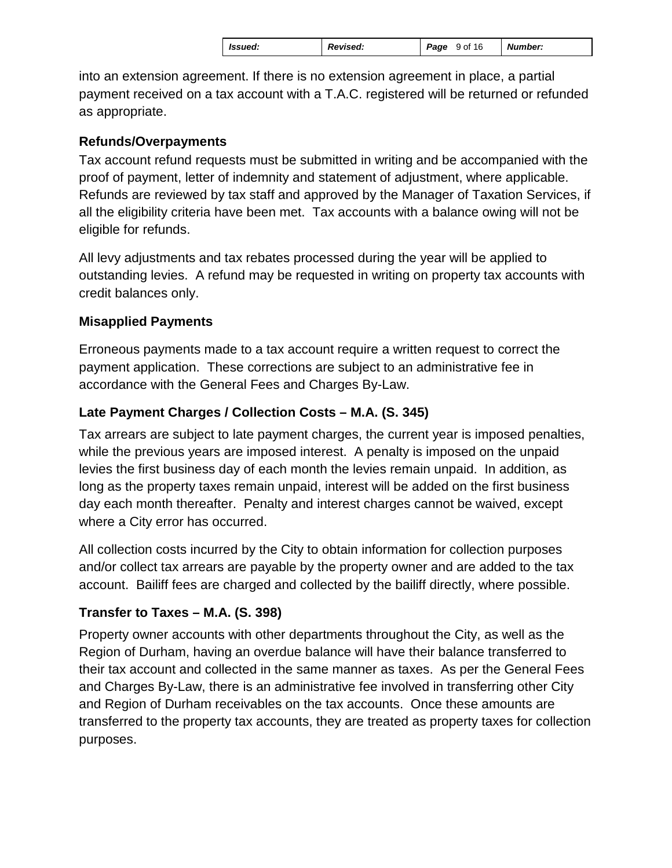into an extension agreement. If there is no extension agreement in place, a partial payment received on a tax account with a T.A.C. registered will be returned or refunded as appropriate.

### **Refunds/Overpayments**

Tax account refund requests must be submitted in writing and be accompanied with the proof of payment, letter of indemnity and statement of adjustment, where applicable. Refunds are reviewed by tax staff and approved by the Manager of Taxation Services, if all the eligibility criteria have been met. Tax accounts with a balance owing will not be eligible for refunds.

All levy adjustments and tax rebates processed during the year will be applied to outstanding levies. A refund may be requested in writing on property tax accounts with credit balances only.

# **Misapplied Payments**

Erroneous payments made to a tax account require a written request to correct the payment application. These corrections are subject to an administrative fee in accordance with the General Fees and Charges By-Law.

# **Late Payment Charges / Collection Costs – M.A. (S. 345)**

Tax arrears are subject to late payment charges, the current year is imposed penalties, while the previous years are imposed interest. A penalty is imposed on the unpaid levies the first business day of each month the levies remain unpaid. In addition, as long as the property taxes remain unpaid, interest will be added on the first business day each month thereafter. Penalty and interest charges cannot be waived, except where a City error has occurred.

All collection costs incurred by the City to obtain information for collection purposes and/or collect tax arrears are payable by the property owner and are added to the tax account. Bailiff fees are charged and collected by the bailiff directly, where possible.

# **Transfer to Taxes – M.A. (S. 398)**

Property owner accounts with other departments throughout the City, as well as the Region of Durham, having an overdue balance will have their balance transferred to their tax account and collected in the same manner as taxes. As per the General Fees and Charges By-Law, there is an administrative fee involved in transferring other City and Region of Durham receivables on the tax accounts. Once these amounts are transferred to the property tax accounts, they are treated as property taxes for collection purposes.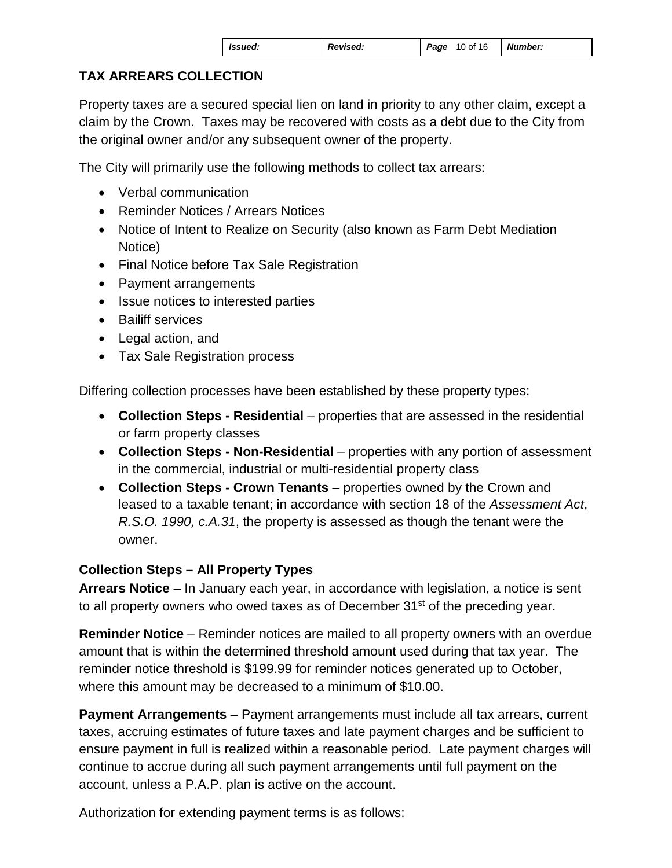| Ssued: | <b>Revised:</b> | <b>Page 10 of 16 Number:</b> |  |
|--------|-----------------|------------------------------|--|
|--------|-----------------|------------------------------|--|

# **TAX ARREARS COLLECTION**

Property taxes are a secured special lien on land in priority to any other claim, except a claim by the Crown. Taxes may be recovered with costs as a debt due to the City from the original owner and/or any subsequent owner of the property.

The City will primarily use the following methods to collect tax arrears:

- Verbal communication
- Reminder Notices / Arrears Notices
- Notice of Intent to Realize on Security (also known as Farm Debt Mediation Notice)
- Final Notice before Tax Sale Registration
- Payment arrangements
- Issue notices to interested parties
- Bailiff services
- Legal action, and
- Tax Sale Registration process

Differing collection processes have been established by these property types:

- **Collection Steps Residential** properties that are assessed in the residential or farm property classes
- **Collection Steps Non-Residential** properties with any portion of assessment in the commercial, industrial or multi-residential property class
- **Collection Steps Crown Tenants** properties owned by the Crown and leased to a taxable tenant; in accordance with section 18 of the *Assessment Act*, *R.S.O. 1990, c.A.31*, the property is assessed as though the tenant were the owner.

# **Collection Steps – All Property Types**

**Arrears Notice** – In January each year, in accordance with legislation, a notice is sent to all property owners who owed taxes as of December 31<sup>st</sup> of the preceding year.

**Reminder Notice** – Reminder notices are mailed to all property owners with an overdue amount that is within the determined threshold amount used during that tax year. The reminder notice threshold is \$199.99 for reminder notices generated up to October, where this amount may be decreased to a minimum of \$10.00.

**Payment Arrangements** – Payment arrangements must include all tax arrears, current taxes, accruing estimates of future taxes and late payment charges and be sufficient to ensure payment in full is realized within a reasonable period. Late payment charges will continue to accrue during all such payment arrangements until full payment on the account, unless a P.A.P. plan is active on the account.

Authorization for extending payment terms is as follows: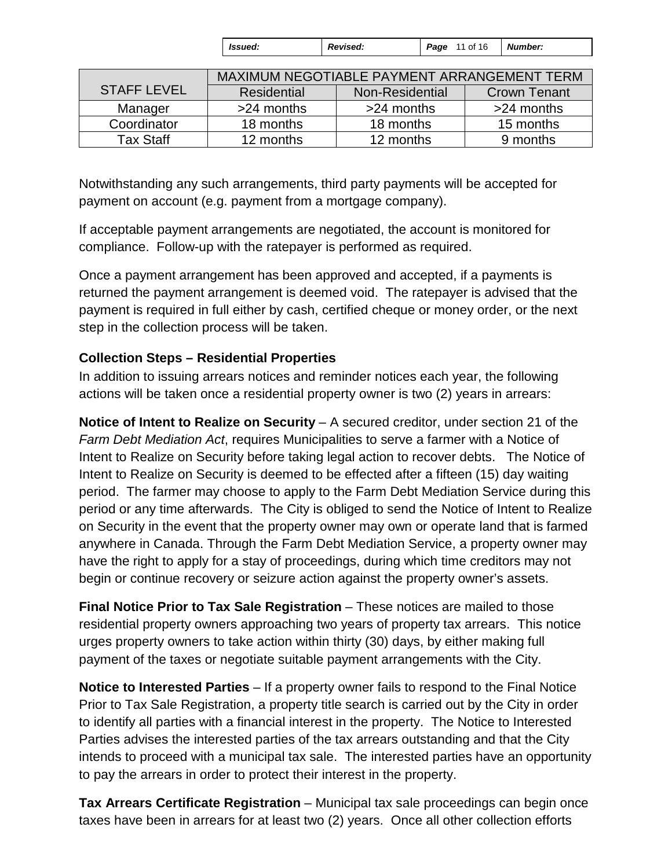| <b>S</b> sued: | Revised: | 11 of 16<br>Page | <b>Number:</b> |
|----------------|----------|------------------|----------------|
|----------------|----------|------------------|----------------|

|                    | MAXIMUM NEGOTIABLE PAYMENT ARRANGEMENT TERM |                 |                     |
|--------------------|---------------------------------------------|-----------------|---------------------|
| <b>STAFF LEVEL</b> | Residential                                 | Non-Residential | <b>Crown Tenant</b> |
| Manager            | >24 months                                  | $>24$ months    | >24 months          |
| Coordinator        | 18 months                                   | 18 months       | 15 months           |
| Tax Staff          | 12 months                                   | 12 months       | 9 months            |

Notwithstanding any such arrangements, third party payments will be accepted for payment on account (e.g. payment from a mortgage company).

If acceptable payment arrangements are negotiated, the account is monitored for compliance. Follow-up with the ratepayer is performed as required.

Once a payment arrangement has been approved and accepted, if a payments is returned the payment arrangement is deemed void. The ratepayer is advised that the payment is required in full either by cash, certified cheque or money order, or the next step in the collection process will be taken.

### **Collection Steps – Residential Properties**

In addition to issuing arrears notices and reminder notices each year, the following actions will be taken once a residential property owner is two (2) years in arrears:

**Notice of Intent to Realize on Security** – A secured creditor, under section 21 of the *Farm Debt Mediation Act*, requires Municipalities to serve a farmer with a Notice of Intent to Realize on Security before taking legal action to recover debts. The Notice of Intent to Realize on Security is deemed to be effected after a fifteen (15) day waiting period. The farmer may choose to apply to the Farm Debt Mediation Service during this period or any time afterwards. The City is obliged to send the Notice of Intent to Realize on Security in the event that the property owner may own or operate land that is farmed anywhere in Canada. Through the Farm Debt Mediation Service, a property owner may have the right to apply for a stay of proceedings, during which time creditors may not begin or continue recovery or seizure action against the property owner's assets.

**Final Notice Prior to Tax Sale Registration** – These notices are mailed to those residential property owners approaching two years of property tax arrears. This notice urges property owners to take action within thirty (30) days, by either making full payment of the taxes or negotiate suitable payment arrangements with the City.

**Notice to Interested Parties** – If a property owner fails to respond to the Final Notice Prior to Tax Sale Registration, a property title search is carried out by the City in order to identify all parties with a financial interest in the property. The Notice to Interested Parties advises the interested parties of the tax arrears outstanding and that the City intends to proceed with a municipal tax sale. The interested parties have an opportunity to pay the arrears in order to protect their interest in the property.

**Tax Arrears Certificate Registration** – Municipal tax sale proceedings can begin once taxes have been in arrears for at least two (2) years. Once all other collection efforts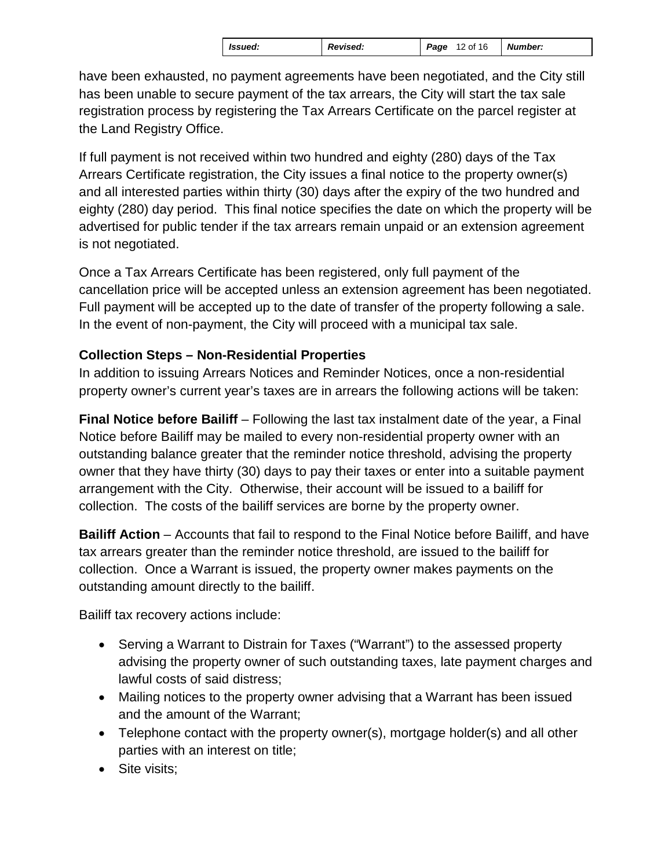| <i>Issued:</i> | <b>Revised:</b> | Page<br>12 of 16 | <b>Number:</b> |
|----------------|-----------------|------------------|----------------|
|----------------|-----------------|------------------|----------------|

have been exhausted, no payment agreements have been negotiated, and the City still has been unable to secure payment of the tax arrears, the City will start the tax sale registration process by registering the Tax Arrears Certificate on the parcel register at the Land Registry Office.

If full payment is not received within two hundred and eighty (280) days of the Tax Arrears Certificate registration, the City issues a final notice to the property owner(s) and all interested parties within thirty (30) days after the expiry of the two hundred and eighty (280) day period. This final notice specifies the date on which the property will be advertised for public tender if the tax arrears remain unpaid or an extension agreement is not negotiated.

Once a Tax Arrears Certificate has been registered, only full payment of the cancellation price will be accepted unless an extension agreement has been negotiated. Full payment will be accepted up to the date of transfer of the property following a sale. In the event of non-payment, the City will proceed with a municipal tax sale.

# **Collection Steps – Non-Residential Properties**

In addition to issuing Arrears Notices and Reminder Notices, once a non-residential property owner's current year's taxes are in arrears the following actions will be taken:

**Final Notice before Bailiff** – Following the last tax instalment date of the year, a Final Notice before Bailiff may be mailed to every non-residential property owner with an outstanding balance greater that the reminder notice threshold, advising the property owner that they have thirty (30) days to pay their taxes or enter into a suitable payment arrangement with the City. Otherwise, their account will be issued to a bailiff for collection. The costs of the bailiff services are borne by the property owner.

**Bailiff Action** – Accounts that fail to respond to the Final Notice before Bailiff, and have tax arrears greater than the reminder notice threshold, are issued to the bailiff for collection. Once a Warrant is issued, the property owner makes payments on the outstanding amount directly to the bailiff.

Bailiff tax recovery actions include:

- Serving a Warrant to Distrain for Taxes ("Warrant") to the assessed property advising the property owner of such outstanding taxes, late payment charges and lawful costs of said distress;
- Mailing notices to the property owner advising that a Warrant has been issued and the amount of the Warrant;
- Telephone contact with the property owner(s), mortgage holder(s) and all other parties with an interest on title;
- Site visits;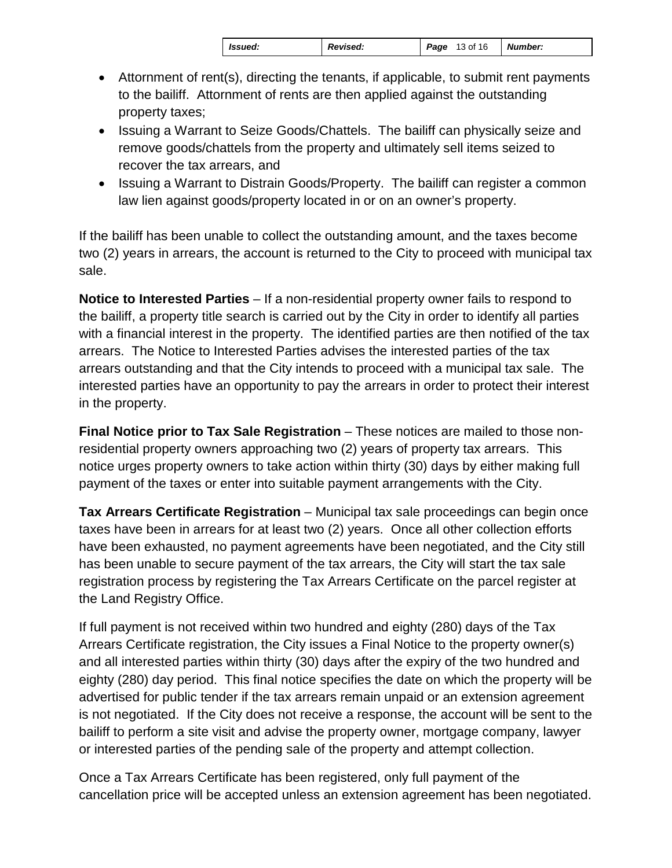| Issued: | Revised: | <b>Page</b> 13 of 16 | Number: |
|---------|----------|----------------------|---------|
|         |          |                      |         |

- Attornment of rent(s), directing the tenants, if applicable, to submit rent payments to the bailiff. Attornment of rents are then applied against the outstanding property taxes;
- Issuing a Warrant to Seize Goods/Chattels. The bailiff can physically seize and remove goods/chattels from the property and ultimately sell items seized to recover the tax arrears, and
- Issuing a Warrant to Distrain Goods/Property. The bailiff can register a common law lien against goods/property located in or on an owner's property.

If the bailiff has been unable to collect the outstanding amount, and the taxes become two (2) years in arrears, the account is returned to the City to proceed with municipal tax sale.

**Notice to Interested Parties** – If a non-residential property owner fails to respond to the bailiff, a property title search is carried out by the City in order to identify all parties with a financial interest in the property. The identified parties are then notified of the tax arrears. The Notice to Interested Parties advises the interested parties of the tax arrears outstanding and that the City intends to proceed with a municipal tax sale. The interested parties have an opportunity to pay the arrears in order to protect their interest in the property.

**Final Notice prior to Tax Sale Registration** – These notices are mailed to those nonresidential property owners approaching two (2) years of property tax arrears. This notice urges property owners to take action within thirty (30) days by either making full payment of the taxes or enter into suitable payment arrangements with the City.

**Tax Arrears Certificate Registration** – Municipal tax sale proceedings can begin once taxes have been in arrears for at least two (2) years. Once all other collection efforts have been exhausted, no payment agreements have been negotiated, and the City still has been unable to secure payment of the tax arrears, the City will start the tax sale registration process by registering the Tax Arrears Certificate on the parcel register at the Land Registry Office.

If full payment is not received within two hundred and eighty (280) days of the Tax Arrears Certificate registration, the City issues a Final Notice to the property owner(s) and all interested parties within thirty (30) days after the expiry of the two hundred and eighty (280) day period. This final notice specifies the date on which the property will be advertised for public tender if the tax arrears remain unpaid or an extension agreement is not negotiated. If the City does not receive a response, the account will be sent to the bailiff to perform a site visit and advise the property owner, mortgage company, lawyer or interested parties of the pending sale of the property and attempt collection.

Once a Tax Arrears Certificate has been registered, only full payment of the cancellation price will be accepted unless an extension agreement has been negotiated.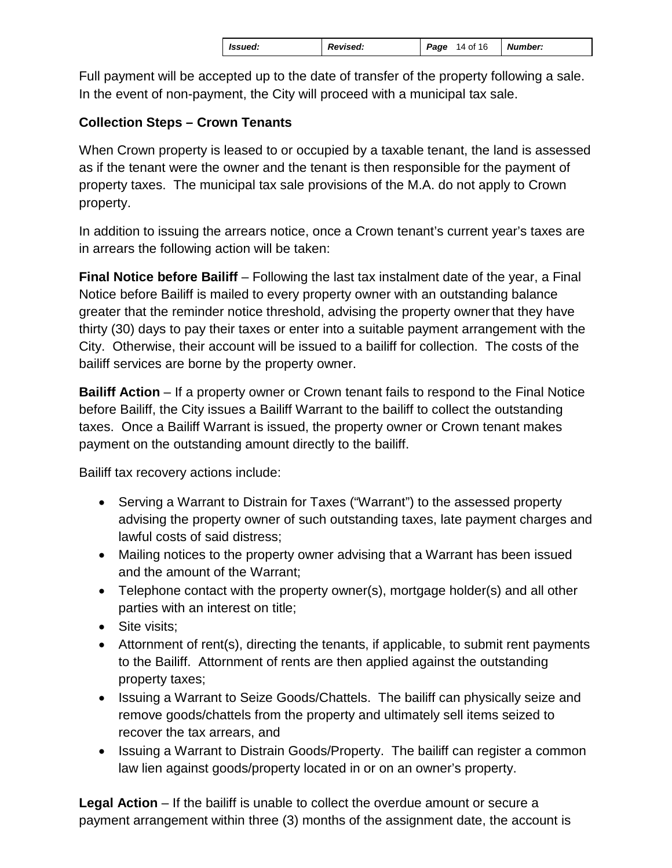Full payment will be accepted up to the date of transfer of the property following a sale. In the event of non-payment, the City will proceed with a municipal tax sale.

# **Collection Steps – Crown Tenants**

When Crown property is leased to or occupied by a taxable tenant, the land is assessed as if the tenant were the owner and the tenant is then responsible for the payment of property taxes. The municipal tax sale provisions of the M.A. do not apply to Crown property.

In addition to issuing the arrears notice, once a Crown tenant's current year's taxes are in arrears the following action will be taken:

**Final Notice before Bailiff** – Following the last tax instalment date of the year, a Final Notice before Bailiff is mailed to every property owner with an outstanding balance greater that the reminder notice threshold, advising the property owner that they have thirty (30) days to pay their taxes or enter into a suitable payment arrangement with the City. Otherwise, their account will be issued to a bailiff for collection. The costs of the bailiff services are borne by the property owner.

**Bailiff Action** – If a property owner or Crown tenant fails to respond to the Final Notice before Bailiff, the City issues a Bailiff Warrant to the bailiff to collect the outstanding taxes. Once a Bailiff Warrant is issued, the property owner or Crown tenant makes payment on the outstanding amount directly to the bailiff.

Bailiff tax recovery actions include:

- Serving a Warrant to Distrain for Taxes ("Warrant") to the assessed property advising the property owner of such outstanding taxes, late payment charges and lawful costs of said distress;
- Mailing notices to the property owner advising that a Warrant has been issued and the amount of the Warrant;
- Telephone contact with the property owner(s), mortgage holder(s) and all other parties with an interest on title;
- Site visits;
- Attornment of rent(s), directing the tenants, if applicable, to submit rent payments to the Bailiff. Attornment of rents are then applied against the outstanding property taxes;
- Issuing a Warrant to Seize Goods/Chattels. The bailiff can physically seize and remove goods/chattels from the property and ultimately sell items seized to recover the tax arrears, and
- Issuing a Warrant to Distrain Goods/Property. The bailiff can register a common law lien against goods/property located in or on an owner's property.

**Legal Action** – If the bailiff is unable to collect the overdue amount or secure a payment arrangement within three (3) months of the assignment date, the account is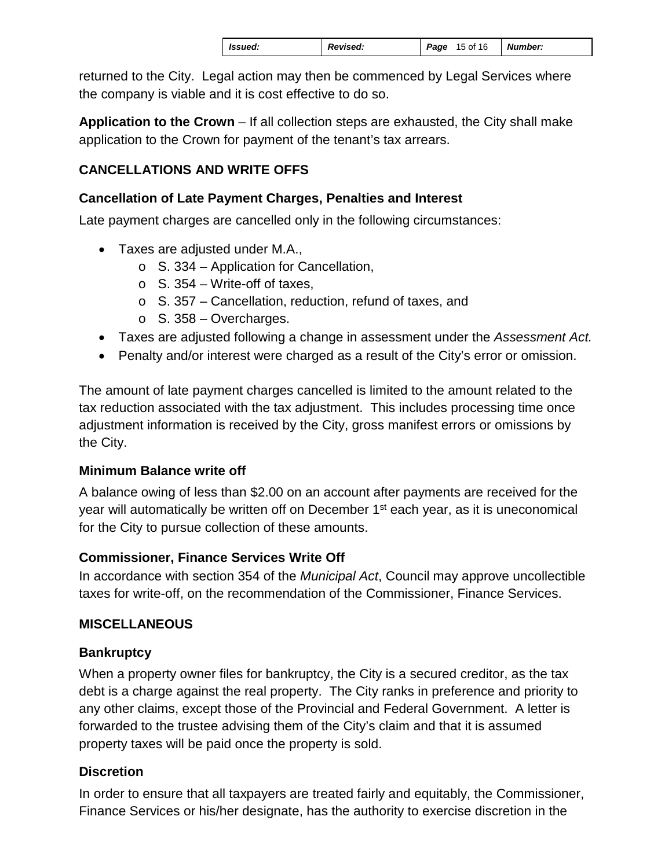|  | Issued: | <b>Revised:</b> | Page | 15 of 16 | Number: |  |
|--|---------|-----------------|------|----------|---------|--|
|--|---------|-----------------|------|----------|---------|--|

returned to the City. Legal action may then be commenced by Legal Services where the company is viable and it is cost effective to do so.

**Application to the Crown** – If all collection steps are exhausted, the City shall make application to the Crown for payment of the tenant's tax arrears.

# **CANCELLATIONS AND WRITE OFFS**

### **Cancellation of Late Payment Charges, Penalties and Interest**

Late payment charges are cancelled only in the following circumstances:

- Taxes are adjusted under M.A.,
	- $\circ$  S. 334 Application for Cancellation,
	- $\circ$  S. 354 Write-off of taxes,
	- o S. 357 Cancellation, reduction, refund of taxes, and
	- $\circ$  S. 358 Overcharges.
- Taxes are adjusted following a change in assessment under the *Assessment Act.*
- Penalty and/or interest were charged as a result of the City's error or omission.

The amount of late payment charges cancelled is limited to the amount related to the tax reduction associated with the tax adjustment. This includes processing time once adjustment information is received by the City, gross manifest errors or omissions by the City.

### **Minimum Balance write off**

A balance owing of less than \$2.00 on an account after payments are received for the year will automatically be written off on December 1<sup>st</sup> each year, as it is uneconomical for the City to pursue collection of these amounts.

### **Commissioner, Finance Services Write Off**

In accordance with section 354 of the *Municipal Act*, Council may approve uncollectible taxes for write-off, on the recommendation of the Commissioner, Finance Services.

### **MISCELLANEOUS**

# **Bankruptcy**

When a property owner files for bankruptcy, the City is a secured creditor, as the tax debt is a charge against the real property. The City ranks in preference and priority to any other claims, except those of the Provincial and Federal Government. A letter is forwarded to the trustee advising them of the City's claim and that it is assumed property taxes will be paid once the property is sold.

# **Discretion**

In order to ensure that all taxpayers are treated fairly and equitably, the Commissioner, Finance Services or his/her designate, has the authority to exercise discretion in the